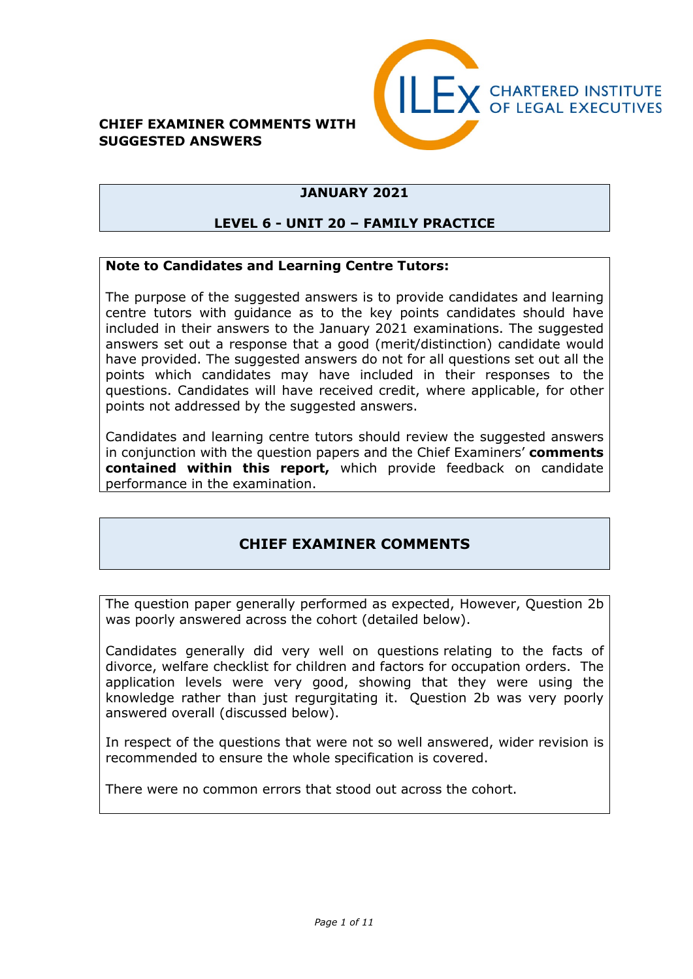#### **CHIEF EXAMINER COMMENTS WITH SUGGESTED ANSWERS**



## **JANUARY 2021**

### **LEVEL 6 - UNIT 20 – FAMILY PRACTICE**

#### **Note to Candidates and Learning Centre Tutors:**

The purpose of the suggested answers is to provide candidates and learning centre tutors with guidance as to the key points candidates should have included in their answers to the January 2021 examinations. The suggested answers set out a response that a good (merit/distinction) candidate would have provided. The suggested answers do not for all questions set out all the points which candidates may have included in their responses to the questions. Candidates will have received credit, where applicable, for other points not addressed by the suggested answers.

Candidates and learning centre tutors should review the suggested answers in conjunction with the question papers and the Chief Examiners' **comments contained within this report,** which provide feedback on candidate performance in the examination.

## **CHIEF EXAMINER COMMENTS**

The question paper generally performed as expected, However, Question 2b was poorly answered across the cohort (detailed below).

Candidates generally did very well on questions relating to the facts of divorce, welfare checklist for children and factors for occupation orders. The application levels were very good, showing that they were using the knowledge rather than just regurgitating it. Question 2b was very poorly answered overall (discussed below).

In respect of the questions that were not so well answered, wider revision is recommended to ensure the whole specification is covered.

There were no common errors that stood out across the cohort.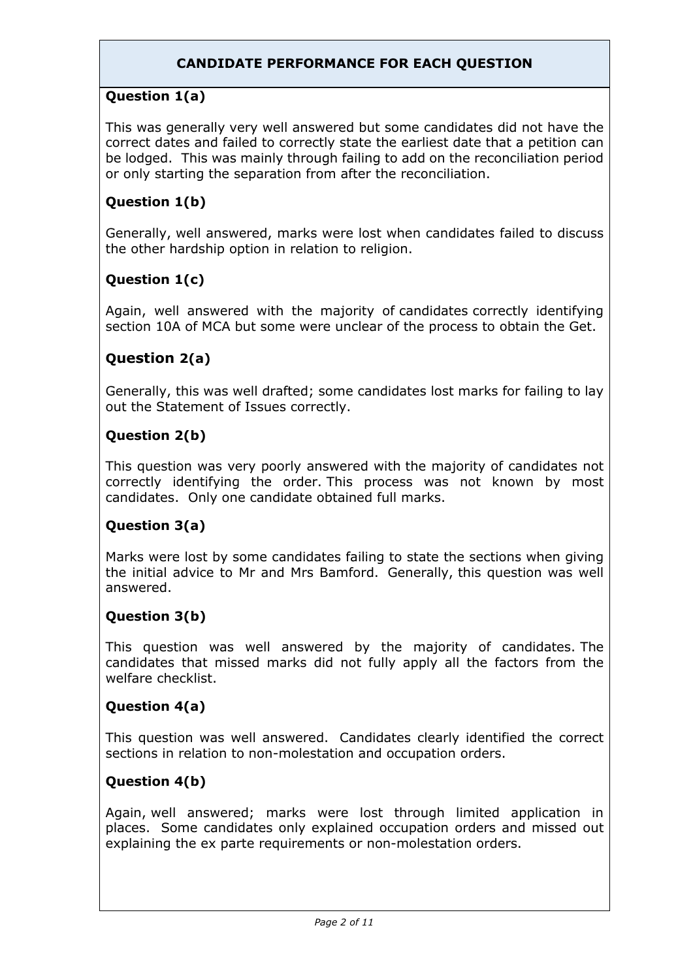## **CANDIDATE PERFORMANCE FOR EACH QUESTION**

## **Question 1(a)**

This was generally very well answered but some candidates did not have the correct dates and failed to correctly state the earliest date that a petition can be lodged. This was mainly through failing to add on the reconciliation period or only starting the separation from after the reconciliation.

## **Question 1(b)**

Generally, well answered, marks were lost when candidates failed to discuss the other hardship option in relation to religion.

## **Question 1(c)**

Again, well answered with the majority of candidates correctly identifying section 10A of MCA but some were unclear of the process to obtain the Get.

## **Question 2(a)**

Generally, this was well drafted; some candidates lost marks for failing to lay out the Statement of Issues correctly.

### **Question 2(b)**

This question was very poorly answered with the majority of candidates not correctly identifying the order. This process was not known by most candidates. Only one candidate obtained full marks.

## **Question 3(a)**

Marks were lost by some candidates failing to state the sections when giving the initial advice to Mr and Mrs Bamford. Generally, this question was well answered.

#### **Question 3(b)**

This question was well answered by the majority of candidates. The candidates that missed marks did not fully apply all the factors from the welfare checklist.

## **Question 4(a)**

This question was well answered. Candidates clearly identified the correct sections in relation to non-molestation and occupation orders.

## **Question 4(b)**

Again, well answered; marks were lost through limited application in places. Some candidates only explained occupation orders and missed out explaining the ex parte requirements or non-molestation orders.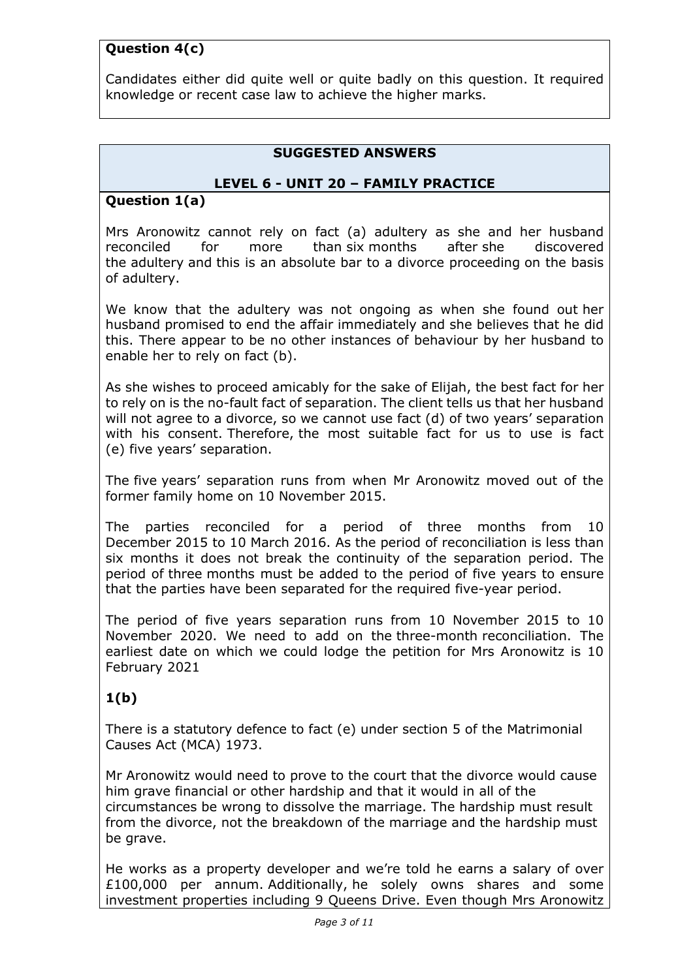## **Question 4(c)**

Candidates either did quite well or quite badly on this question. It required knowledge or recent case law to achieve the higher marks.

#### **SUGGESTED ANSWERS**

#### **LEVEL 6 - UNIT 20 – FAMILY PRACTICE**

#### **Question 1(a)**

Mrs Aronowitz cannot rely on fact (a) adultery as she and her husband reconciled for more than six months after she discovered the adultery and this is an absolute bar to a divorce proceeding on the basis of adultery.

We know that the adultery was not ongoing as when she found out her husband promised to end the affair immediately and she believes that he did this. There appear to be no other instances of behaviour by her husband to enable her to rely on fact (b).

As she wishes to proceed amicably for the sake of Elijah, the best fact for her to rely on is the no-fault fact of separation. The client tells us that her husband will not agree to a divorce, so we cannot use fact (d) of two years' separation with his consent. Therefore, the most suitable fact for us to use is fact (e) five years' separation.

The five years' separation runs from when Mr Aronowitz moved out of the former family home on 10 November 2015.

The parties reconciled for a period of three months from 10 December 2015 to 10 March 2016. As the period of reconciliation is less than six months it does not break the continuity of the separation period. The period of three months must be added to the period of five years to ensure that the parties have been separated for the required five-year period.

The period of five years separation runs from 10 November 2015 to 10 November 2020. We need to add on the three-month reconciliation. The earliest date on which we could lodge the petition for Mrs Aronowitz is 10 February 2021

## **1(b)**

There is a statutory defence to fact (e) under section 5 of the Matrimonial Causes Act (MCA) 1973.

Mr Aronowitz would need to prove to the court that the divorce would cause him grave financial or other hardship and that it would in all of the circumstances be wrong to dissolve the marriage. The hardship must result from the divorce, not the breakdown of the marriage and the hardship must be grave.

He works as a property developer and we're told he earns a salary of over £100,000 per annum. Additionally, he solely owns shares and some investment properties including 9 Queens Drive. Even though Mrs Aronowitz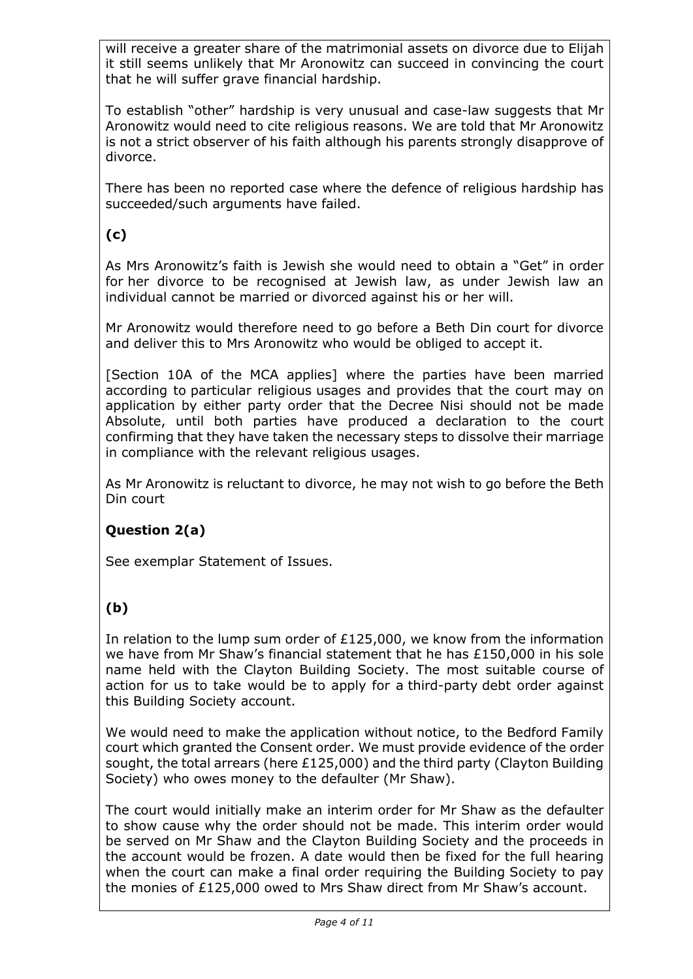will receive a greater share of the matrimonial assets on divorce due to Elijah it still seems unlikely that Mr Aronowitz can succeed in convincing the court that he will suffer grave financial hardship.

To establish "other" hardship is very unusual and case-law suggests that Mr Aronowitz would need to cite religious reasons. We are told that Mr Aronowitz is not a strict observer of his faith although his parents strongly disapprove of divorce.

There has been no reported case where the defence of religious hardship has succeeded/such arguments have failed.

## **(c)**

As Mrs Aronowitz's faith is Jewish she would need to obtain a "Get" in order for her divorce to be recognised at Jewish law, as under Jewish law an individual cannot be married or divorced against his or her will.

Mr Aronowitz would therefore need to go before a Beth Din court for divorce and deliver this to Mrs Aronowitz who would be obliged to accept it.

[Section 10A of the MCA applies] where the parties have been married according to particular religious usages and provides that the court may on application by either party order that the Decree Nisi should not be made Absolute, until both parties have produced a declaration to the court confirming that they have taken the necessary steps to dissolve their marriage in compliance with the relevant religious usages.

As Mr Aronowitz is reluctant to divorce, he may not wish to go before the Beth Din court

## **Question 2(a)**

See exemplar Statement of Issues.

# **(b)**

In relation to the lump sum order of £125,000, we know from the information we have from Mr Shaw's financial statement that he has £150,000 in his sole name held with the Clayton Building Society. The most suitable course of action for us to take would be to apply for a third-party debt order against this Building Society account.

We would need to make the application without notice, to the Bedford Family court which granted the Consent order. We must provide evidence of the order sought, the total arrears (here £125,000) and the third party (Clayton Building Society) who owes money to the defaulter (Mr Shaw).

The court would initially make an interim order for Mr Shaw as the defaulter to show cause why the order should not be made. This interim order would be served on Mr Shaw and the Clayton Building Society and the proceeds in the account would be frozen. A date would then be fixed for the full hearing when the court can make a final order requiring the Building Society to pay the monies of £125,000 owed to Mrs Shaw direct from Mr Shaw's account.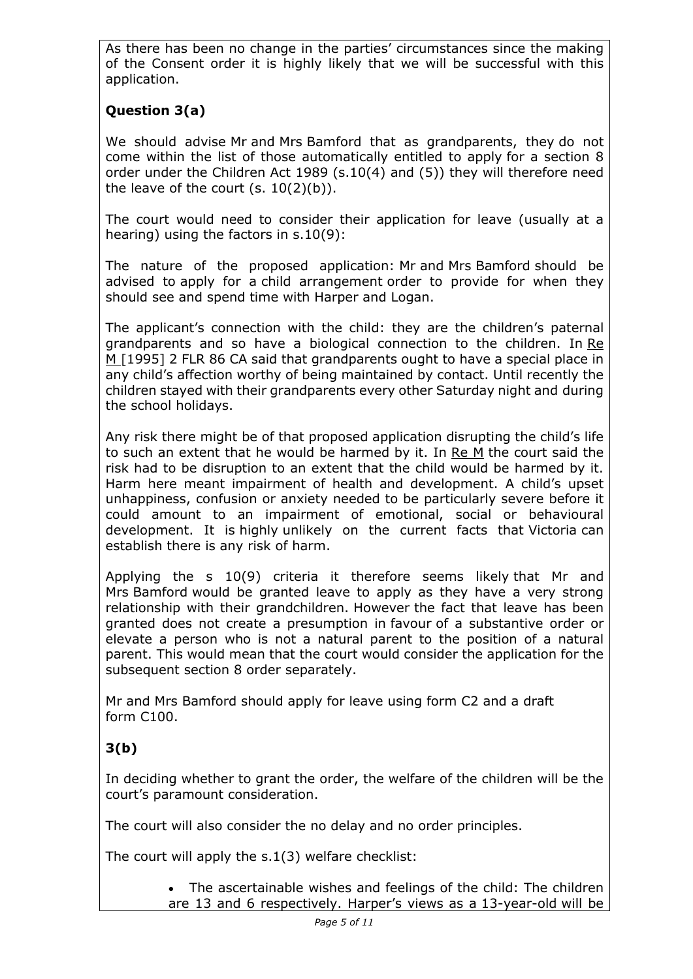As there has been no change in the parties' circumstances since the making of the Consent order it is highly likely that we will be successful with this application.

# **Question 3(a)**

We should advise Mr and Mrs Bamford that as grandparents, they do not come within the list of those automatically entitled to apply for a section 8 order under the Children Act 1989 (s.10(4) and (5)) they will therefore need the leave of the court  $(s. 10(2)(b))$ .

The court would need to consider their application for leave (usually at a hearing) using the factors in s.10(9):

The nature of the proposed application: Mr and Mrs Bamford should be advised to apply for a child arrangement order to provide for when they should see and spend time with Harper and Logan.

The applicant's connection with the child: they are the children's paternal grandparents and so have a biological connection to the children. In Re M [1995] 2 FLR 86 CA said that grandparents ought to have a special place in any child's affection worthy of being maintained by contact. Until recently the children stayed with their grandparents every other Saturday night and during the school holidays.

Any risk there might be of that proposed application disrupting the child's life to such an extent that he would be harmed by it. In Re M the court said the risk had to be disruption to an extent that the child would be harmed by it. Harm here meant impairment of health and development. A child's upset unhappiness, confusion or anxiety needed to be particularly severe before it could amount to an impairment of emotional, social or behavioural development. It is highly unlikely on the current facts that Victoria can establish there is any risk of harm.

Applying the s 10(9) criteria it therefore seems likely that Mr and Mrs Bamford would be granted leave to apply as they have a very strong relationship with their grandchildren. However the fact that leave has been granted does not create a presumption in favour of a substantive order or elevate a person who is not a natural parent to the position of a natural parent. This would mean that the court would consider the application for the subsequent section 8 order separately.

Mr and Mrs Bamford should apply for leave using form C2 and a draft form C100.

# **3(b)**

In deciding whether to grant the order, the welfare of the children will be the court's paramount consideration.

The court will also consider the no delay and no order principles.

The court will apply the s.1(3) welfare checklist:

• The ascertainable wishes and feelings of the child: The children are 13 and 6 respectively. Harper's views as a 13-year-old will be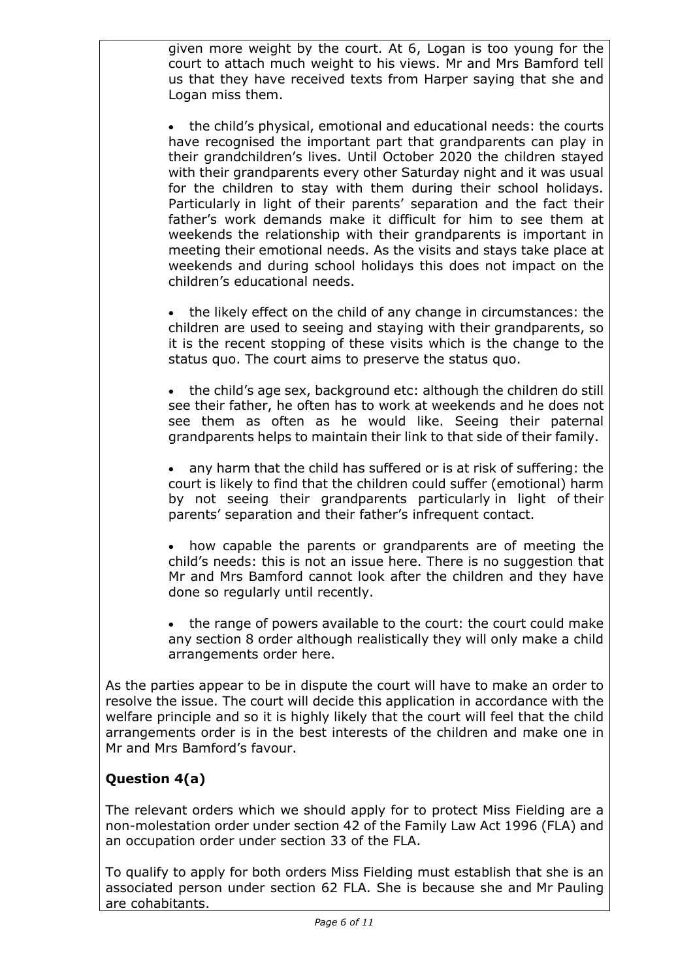given more weight by the court. At 6, Logan is too young for the court to attach much weight to his views. Mr and Mrs Bamford tell us that they have received texts from Harper saying that she and Logan miss them.

• the child's physical, emotional and educational needs: the courts have recognised the important part that grandparents can play in their grandchildren's lives. Until October 2020 the children stayed with their grandparents every other Saturday night and it was usual for the children to stay with them during their school holidays. Particularly in light of their parents' separation and the fact their father's work demands make it difficult for him to see them at weekends the relationship with their grandparents is important in meeting their emotional needs. As the visits and stays take place at weekends and during school holidays this does not impact on the children's educational needs.

• the likely effect on the child of any change in circumstances: the children are used to seeing and staying with their grandparents, so it is the recent stopping of these visits which is the change to the status quo. The court aims to preserve the status quo.

• the child's age sex, background etc: although the children do still see their father, he often has to work at weekends and he does not see them as often as he would like. Seeing their paternal grandparents helps to maintain their link to that side of their family.

• any harm that the child has suffered or is at risk of suffering: the court is likely to find that the children could suffer (emotional) harm by not seeing their grandparents particularly in light of their parents' separation and their father's infrequent contact.

how capable the parents or grandparents are of meeting the child's needs: this is not an issue here. There is no suggestion that Mr and Mrs Bamford cannot look after the children and they have done so regularly until recently.

• the range of powers available to the court: the court could make any section 8 order although realistically they will only make a child arrangements order here.

As the parties appear to be in dispute the court will have to make an order to resolve the issue. The court will decide this application in accordance with the welfare principle and so it is highly likely that the court will feel that the child arrangements order is in the best interests of the children and make one in Mr and Mrs Bamford's favour.

## **Question 4(a)**

The relevant orders which we should apply for to protect Miss Fielding are a non-molestation order under section 42 of the Family Law Act 1996 (FLA) and an occupation order under section 33 of the FLA.

To qualify to apply for both orders Miss Fielding must establish that she is an associated person under section 62 FLA. She is because she and Mr Pauling are cohabitants.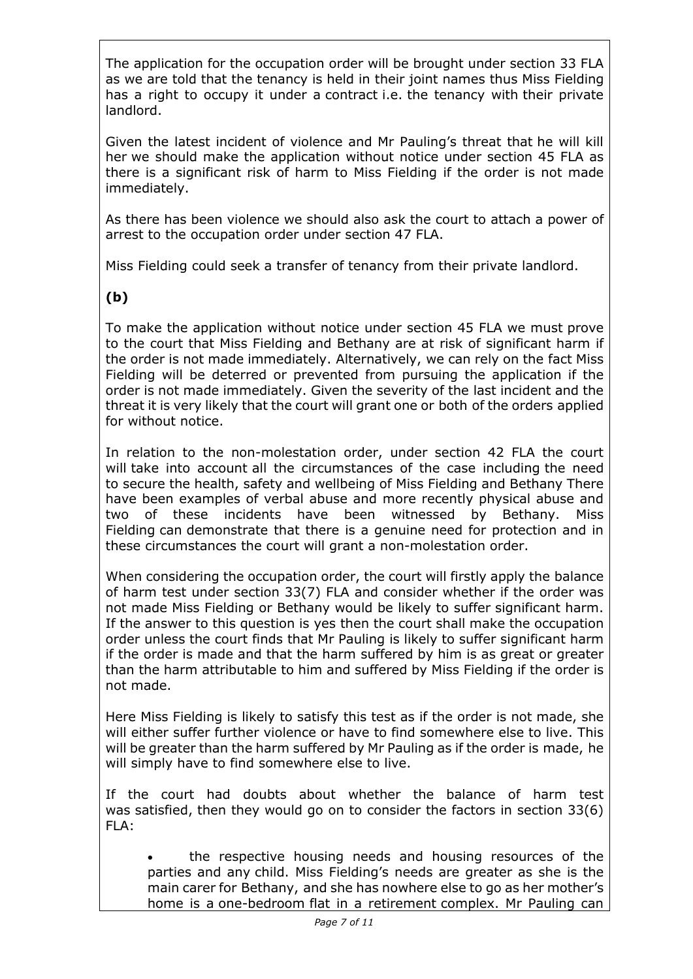The application for the occupation order will be brought under section 33 FLA as we are told that the tenancy is held in their joint names thus Miss Fielding has a right to occupy it under a contract i.e. the tenancy with their private landlord.

Given the latest incident of violence and Mr Pauling's threat that he will kill her we should make the application without notice under section 45 FLA as there is a significant risk of harm to Miss Fielding if the order is not made immediately.

As there has been violence we should also ask the court to attach a power of arrest to the occupation order under section 47 FLA.

Miss Fielding could seek a transfer of tenancy from their private landlord.

# **(b)**

To make the application without notice under section 45 FLA we must prove to the court that Miss Fielding and Bethany are at risk of significant harm if the order is not made immediately. Alternatively, we can rely on the fact Miss Fielding will be deterred or prevented from pursuing the application if the order is not made immediately. Given the severity of the last incident and the threat it is very likely that the court will grant one or both of the orders applied for without notice.

In relation to the non-molestation order, under section 42 FLA the court will take into account all the circumstances of the case including the need to secure the health, safety and wellbeing of Miss Fielding and Bethany There have been examples of verbal abuse and more recently physical abuse and two of these incidents have been witnessed by Bethany. Miss Fielding can demonstrate that there is a genuine need for protection and in these circumstances the court will grant a non-molestation order.

When considering the occupation order, the court will firstly apply the balance of harm test under section 33(7) FLA and consider whether if the order was not made Miss Fielding or Bethany would be likely to suffer significant harm. If the answer to this question is yes then the court shall make the occupation order unless the court finds that Mr Pauling is likely to suffer significant harm if the order is made and that the harm suffered by him is as great or greater than the harm attributable to him and suffered by Miss Fielding if the order is not made.

Here Miss Fielding is likely to satisfy this test as if the order is not made, she will either suffer further violence or have to find somewhere else to live. This will be greater than the harm suffered by Mr Pauling as if the order is made, he will simply have to find somewhere else to live.

If the court had doubts about whether the balance of harm test was satisfied, then they would go on to consider the factors in section 33(6) FLA:

• the respective housing needs and housing resources of the parties and any child. Miss Fielding's needs are greater as she is the main carer for Bethany, and she has nowhere else to go as her mother's home is a one-bedroom flat in a retirement complex. Mr Pauling can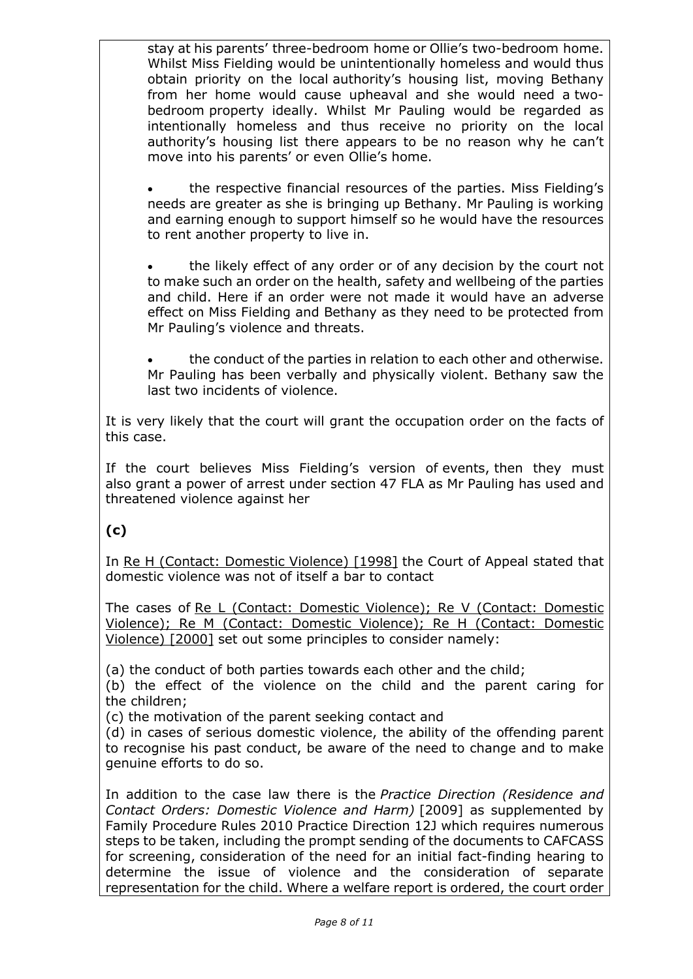stay at his parents' three-bedroom home or Ollie's two-bedroom home. Whilst Miss Fielding would be unintentionally homeless and would thus obtain priority on the local authority's housing list, moving Bethany from her home would cause upheaval and she would need a twobedroom property ideally. Whilst Mr Pauling would be regarded as intentionally homeless and thus receive no priority on the local authority's housing list there appears to be no reason why he can't move into his parents' or even Ollie's home.

• the respective financial resources of the parties. Miss Fielding's needs are greater as she is bringing up Bethany. Mr Pauling is working and earning enough to support himself so he would have the resources to rent another property to live in.

the likely effect of any order or of any decision by the court not to make such an order on the health, safety and wellbeing of the parties and child. Here if an order were not made it would have an adverse effect on Miss Fielding and Bethany as they need to be protected from Mr Pauling's violence and threats.

the conduct of the parties in relation to each other and otherwise. Mr Pauling has been verbally and physically violent. Bethany saw the last two incidents of violence.

It is very likely that the court will grant the occupation order on the facts of this case.

If the court believes Miss Fielding's version of events, then they must also grant a power of arrest under section 47 FLA as Mr Pauling has used and threatened violence against her

## **(c)**

In Re H (Contact: Domestic Violence) [1998] the Court of Appeal stated that domestic violence was not of itself a bar to contact

The cases of Re L (Contact: Domestic Violence); Re V (Contact: Domestic Violence); Re M (Contact: Domestic Violence); Re H (Contact: Domestic Violence) [2000] set out some principles to consider namely:

(a) the conduct of both parties towards each other and the child;

(b) the effect of the violence on the child and the parent caring for the children;

(c) the motivation of the parent seeking contact and

(d) in cases of serious domestic violence, the ability of the offending parent to recognise his past conduct, be aware of the need to change and to make genuine efforts to do so.

In addition to the case law there is the *Practice Direction (Residence and Contact Orders: Domestic Violence and Harm)* [2009] as supplemented by Family Procedure Rules 2010 Practice Direction 12J which requires numerous steps to be taken, including the prompt sending of the documents to CAFCASS for screening, consideration of the need for an initial fact-finding hearing to determine the issue of violence and the consideration of separate representation for the child. Where a welfare report is ordered, the court order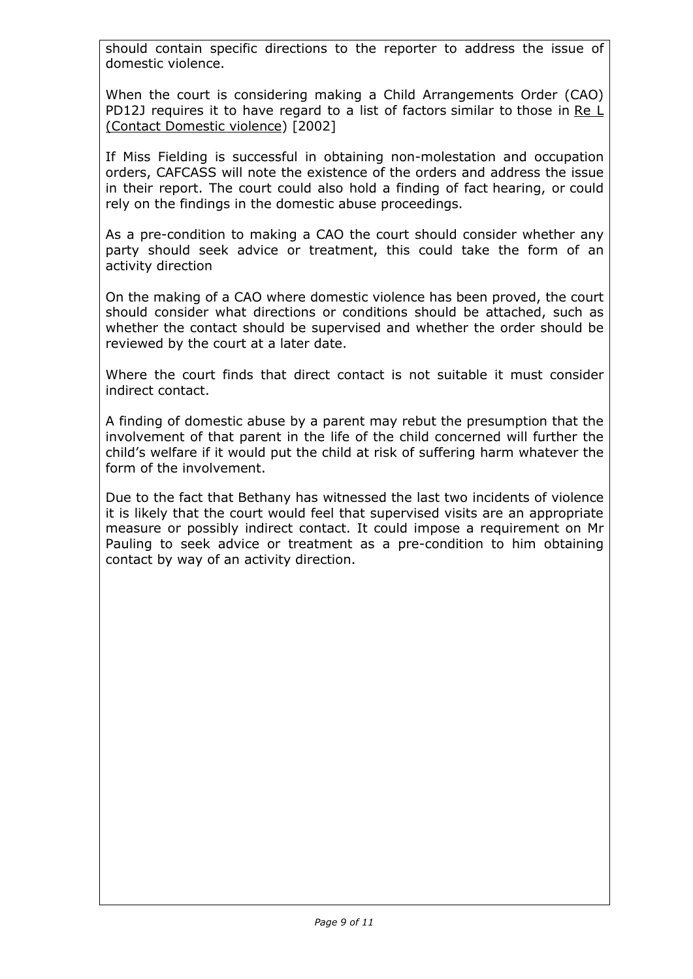should contain specific directions to the reporter to address the issue of domestic violence.

When the court is considering making a Child Arrangements Order (CAO) PD12J requires it to have regard to a list of factors similar to those in Re L (Contact Domestic violence) [2002]

If Miss Fielding is successful in obtaining non-molestation and occupation orders, CAFCASS will note the existence of the orders and address the issue in their report. The court could also hold a finding of fact hearing, or could rely on the findings in the domestic abuse proceedings.

As a pre-condition to making a CAO the court should consider whether any party should seek advice or treatment, this could take the form of an activity direction

On the making of a CAO where domestic violence has been proved, the court should consider what directions or conditions should be attached, such as whether the contact should be supervised and whether the order should be reviewed by the court at a later date.

Where the court finds that direct contact is not suitable it must consider indirect contact.

A finding of domestic abuse by a parent may rebut the presumption that the involvement of that parent in the life of the child concerned will further the child's welfare if it would put the child at risk of suffering harm whatever the form of the involvement.

Due to the fact that Bethany has witnessed the last two incidents of violence it is likely that the court would feel that supervised visits are an appropriate measure or possibly indirect contact. It could impose a requirement on Mr Pauling to seek advice or treatment as a pre-condition to him obtaining contact by way of an activity direction.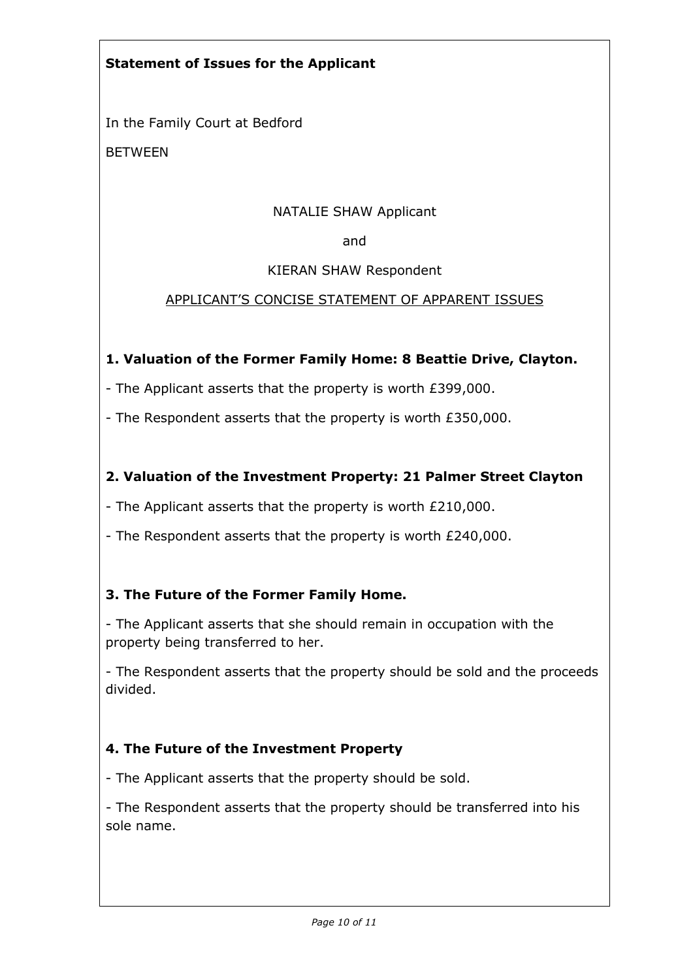## **Statement of Issues for the Applicant**

In the Family Court at Bedford

BETWEEN

### NATALIE SHAW Applicant

and

#### KIERAN SHAW Respondent

### APPLICANT'S CONCISE STATEMENT OF APPARENT ISSUES

### **1. Valuation of the Former Family Home: 8 Beattie Drive, Clayton.**

- The Applicant asserts that the property is worth £399,000.

- The Respondent asserts that the property is worth £350,000.

### **2. Valuation of the Investment Property: 21 Palmer Street Clayton**

- The Applicant asserts that the property is worth £210,000.

- The Respondent asserts that the property is worth £240,000.

## **3. The Future of the Former Family Home.**

- The Applicant asserts that she should remain in occupation with the property being transferred to her.

- The Respondent asserts that the property should be sold and the proceeds divided.

## **4. The Future of the Investment Property**

- The Applicant asserts that the property should be sold.

- The Respondent asserts that the property should be transferred into his sole name.